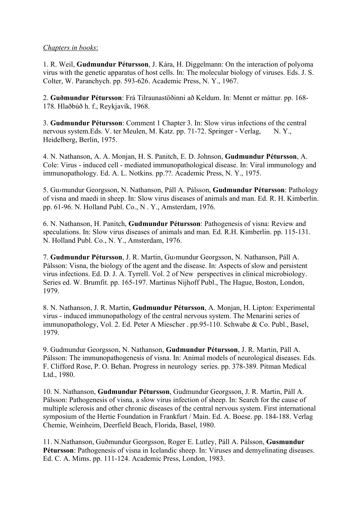## Chapters in books:

1. R. Weil, Gudmundur Pétursson, J. Kára, H. Diggelmann: On the interaction of polyoma virus with the genetic apparatus of host cells. In: The molecular biology of viruses. Eds. J. S. Colter, W. Paranchych. pp. 593-626. Academic Press, N. Y., 1967.

2. Guðmundur Pétursson: Frá Tilraunastöðinni að Keldum. In: Mennt er máttur. pp. 168- 178. Hlaðbúð h. f., Reykjavík, 1968.

3. Gudmundur Pétursson: Comment 1 Chapter 3. In: Slow virus infections of the central nervous system. Eds. V. ter Meulen, M. Katz. pp. 71-72. Springer - Verlag, N. Y., Heidelberg, Berlin, 1975.

4. N. Nathanson, A. A. Monjan, H. S. Panitch, E. D. Johnson, Gudmundur Pétursson, A. Cole: Virus - induced cell - mediated immunopathological disease. In: Viral immunology and immunopathology. Ed. A. L. Notkins. pp.??. Academic Press, N. Y., 1975.

5. Gu›mundur Georgsson, N. Nathanson, Páll A. Pálsson, Gudmundur Pétursson: Pathology of visna and maedi in sheep. In: Slow virus diseases of animals and man. Ed. R. H. Kimberlin. pp. 61-96. N. Holland Publ. Co., N . Y., Amsterdam, 1976.

6. N. Nathanson, H. Panitch, Gudmundur Pétursson: Pathogenesis of visna: Review and speculations. In: Slow virus diseases of animals and man. Ed. R.H. Kimberlin. pp. 115-131. N. Holland Publ. Co., N. Y., Amsterdam, 1976.

7. Gudmundur Pétursson, J. R. Martin, Gu›mundur Georgsson, N. Nathanson, Páll A. Pálsson: Visna, the biology of the agent and the disease. In: Aspects of slow and persistent virus infections. Ed. D. J. A. Tyrrell. Vol. 2 of New perspectives in clinical microbiology. Series ed. W. Brumfit. pp. 165-197. Martinus Nijhoff Publ., The Hague, Boston, London, 1979.

8. N. Nathanson, J. R. Martin, Gudmundur Pétursson, A. Monjan, H. Lipton: Experimental virus - induced immunopathology of the central nervous system. The Menarini series of immunopathology, Vol. 2. Ed. Peter A Miescher . pp.95-110. Schwabe & Co. Publ., Basel, 1979.

9. Gudmundur Georgsson, N. Nathanson, Gudmundur Pétursson, J. R. Martin, Páll A. Pálsson: The immunopathogenesis of visna. In: Animal models of neurological diseases. Eds. F. Clifford Rose, P. O. Behan. Progress in neurology series. pp. 378-389. Pitman Medical Ltd., 1980.

10. N. Nathanson, Gudmundur Pétursson, Gudmundur Georgsson, J. R. Martin, Páll A. Pálsson: Pathogenesis of visna, a slow virus infection of sheep. In: Search for the cause of multiple sclerosis and other chronic diseases of the central nervous system. First international symposium of the Hertie Foundation in Frankfurt / Main. Ed. A. Boese. pp. 184-188. Verlag Chemie, Weinheim, Deerfield Beach, Florida, Basel, 1980.

11. N.Nathanson, Guðmundur Georgsson, Roger E. Lutley, Páll A. Pálsson, Gusmundur Pétursson: Pathogenesis of visna in Icelandic sheep. In: Viruses and demyelinating diseases. Ed. C. A. Mims. pp. 111-124. Academic Press, London, 1983.